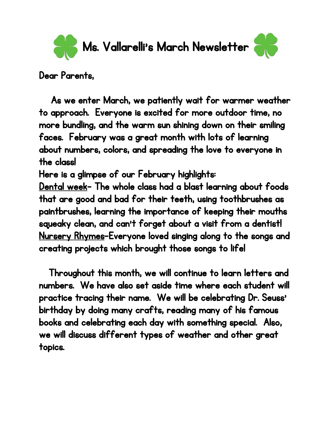

Dear Parents,

 As we enter March, we patiently wait for warmer weather to approach. Everyone is excited for more outdoor time, no more bundling, and the warm sun shining down on their smiling faces. February was a great month with lots of learning about numbers, colors, and spreading the love to everyone in the class!

Here is a glimpse of our February highlights:

Dental week- The whole class had a blast learning about foods that are good and bad for their teeth, using toothbrushes as paintbrushes, learning the importance of keeping their mouths squeaky clean, and can't forget about a visit from a dentist! Nursery Rhymes-Everyone loved singing along to the songs and creating projects which brought those songs to life!

Throughout this month, we will continue to learn letters and numbers. We have also set aside time where each student will practice tracing their name. We will be celebrating Dr. Seuss' birthday by doing many crafts, reading many of his famous books and celebrating each day with something special. Also, we will discuss different types of weather and other great topics.